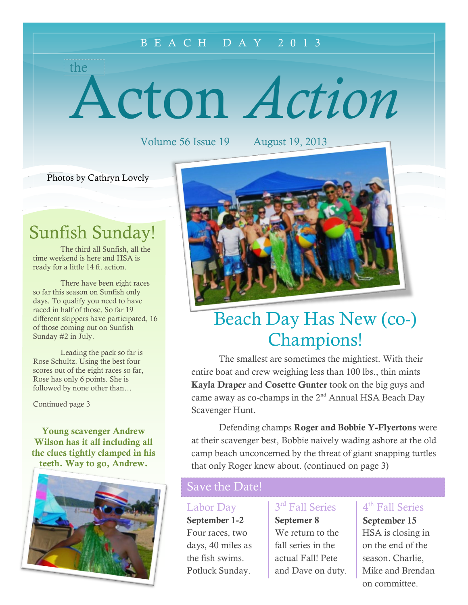#### B E A C H D A Y 2 0 1 3

Acton *Action*

Volume 56 Issue 19 August 19, 2013

Photos by Cathryn Lovely

the

### Sunfish Sunday!

The third all Sunfish, all the time weekend is here and HSA is ready for a little 14 ft. action.

There have been eight races so far this season on Sunfish only days. To qualify you need to have raced in half of those. So far 19 different skippers have participated, 16 of those coming out on Sunfish Sunday #2 in July.

Leading the pack so far is Rose Schultz. Using the best four scores out of the eight races so far, Rose has only 6 points. She is followed by none other than…

Continued page 3

**Young scavenger Andrew Wilson has it all including all the clues tightly clamped in his teeth. Way to go, Andrew.**





## Beach Day Has New (co-) Champions!

The smallest are sometimes the mightiest. With their entire boat and crew weighing less than 100 lbs., thin mints **Kayla Draper** and **Cosette Gunter** took on the big guys and came away as co-champs in the 2<sup>nd</sup> Annual HSA Beach Day Scavenger Hunt.

Defending champs **Roger and Bobbie Y-Flyertons** were at their scavenger best, Bobbie naively wading ashore at the old camp beach unconcerned by the threat of giant snapping turtles that only Roger knew about. (continued on page 3)

### Save the Date!

#### Labor Day

**September 1-2** Four races, two days, 40 miles as the fish swims. Potluck Sunday.

#### 3<sup>rd</sup> Fall Series

**Septemer 8** We return to the fall series in the actual Fall! Pete and Dave on duty.

#### 4<sup>th</sup> Fall Series

**September 15** HSA is closing in on the end of the season. Charlie, Mike and Brendan on committee.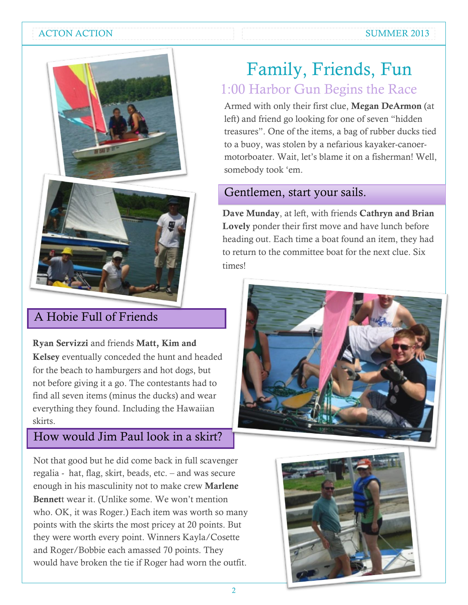#### ACTON ACTION AND SUMMER 2013





### A Hobie Full of Friends

**Ryan Servizzi** and friends **Matt, Kim and Kelsey** eventually conceded the hunt and headed for the beach to hamburgers and hot dogs, but not before giving it a go. The contestants had to find all seven items (minus the ducks) and wear everything they found. Including the Hawaiian skirts.

### How would Jim Paul look in a skirt?

Not that good but he did come back in full scavenger regalia - hat, flag, skirt, beads, etc. – and was secure enough in his masculinity not to make crew **Marlene Bennet**t wear it. (Unlike some. We won't mention who. OK, it was Roger.) Each item was worth so many points with the skirts the most pricey at 20 points. But they were worth every point. Winners Kayla/Cosette and Roger/Bobbie each amassed 70 points. They would have broken the tie if Roger had worn the outfit.

### Family, Friends, Fun 1:00 Harbor Gun Begins the Race

Armed with only their first clue, **Megan DeArmon** (at left) and friend go looking for one of seven "hidden treasures". One of the items, a bag of rubber ducks tied to a buoy, was stolen by a nefarious kayaker-canoermotorboater. Wait, let's blame it on a fisherman! Well, somebody took 'em.

### Gentlemen, start your sails.

**Dave Munday**, at left, with friends **Cathryn and Brian Lovely** ponder their first move and have lunch before heading out. Each time a boat found an item, they had to return to the committee boat for the next clue. Six times!



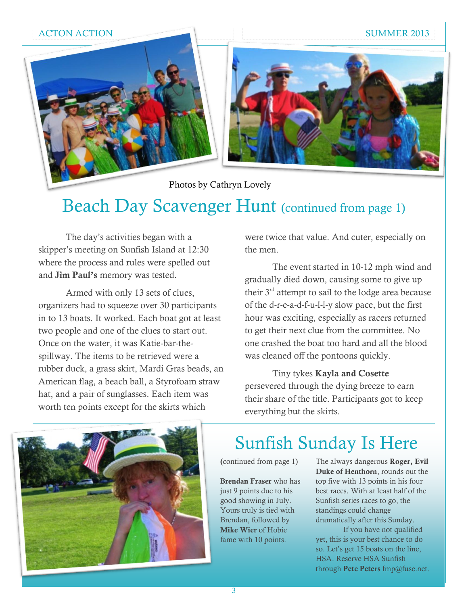ACTON ACTION SUMMER 2013



Photos by Cathryn Lovely

## Beach Day Scavenger Hunt (continued from page 1)

The day's activities began with a skipper's meeting on Sunfish Island at 12:30 where the process and rules were spelled out and **Jim Paul's** memory was tested.

Armed with only 13 sets of clues, organizers had to squeeze over 30 participants in to 13 boats. It worked. Each boat got at least two people and one of the clues to start out. Once on the water, it was Katie-bar-thespillway. The items to be retrieved were a rubber duck, a grass skirt, Mardi Gras beads, an American flag, a beach ball, a Styrofoam straw hat, and a pair of sunglasses. Each item was worth ten points except for the skirts which

were twice that value. And cuter, especially on the men.

The event started in 10-12 mph wind and gradually died down, causing some to give up their 3rd attempt to sail to the lodge area because of the d-r-e-a-d-f-u-l-l-y slow pace, but the first hour was exciting, especially as racers returned to get their next clue from the committee. No one crashed the boat too hard and all the blood was cleaned off the pontoons quickly.

Tiny tykes **Kayla and Cosette** persevered through the dying breeze to earn their share of the title. Participants got to keep everything but the skirts.



## Sunfish Sunday Is Here

**(**continued from page 1)

**Brendan Fraser** who has just 9 points due to his good showing in July. Yours truly is tied with Brendan, followed by **Mike Wier** of Hobie fame with 10 points.

The always dangerous **Roger, Evil Duke of Henthorn**, rounds out the top five with 13 points in his four best races. With at least half of the Sunfish series races to go, the standings could change dramatically after this Sunday.

If you have not qualified yet, this is your best chance to do so. Let's get 15 boats on the line, HSA. Reserve HSA Sunfish through **Pete Peters** fmp@fuse.net.